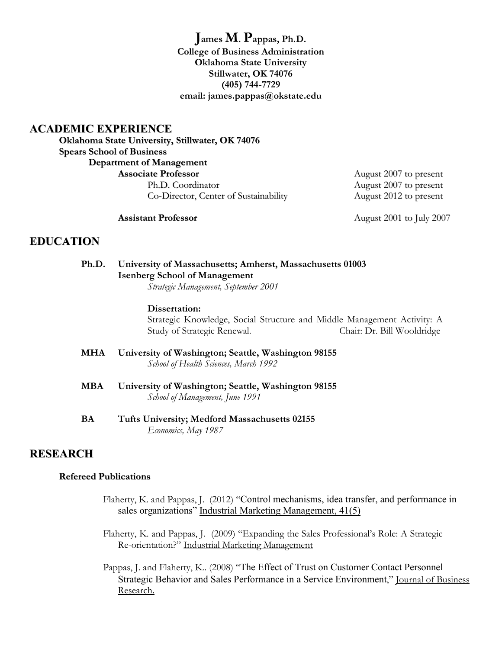**James M. Pappas, Ph.D. College of Business Administration Oklahoma State University Stillwater, OK 74076 (405) 744-7729 email: james.pappas@okstate.edu**

## **ACADEMIC EXPERIENCE**

**Oklahoma State University, Stillwater, OK 74076 Spears School of Business Department of Management Associate Professor** August 2007 to present

Ph.D. Coordinator August 2007 to present Co-Director, Center of Sustainability August 2012 to present

**Assistant Professor August 2001 to July 2007** 

# **EDUCATION**

#### **Ph.D. University of Massachusetts; Amherst, Massachusetts 01003 Isenberg School of Management** *Strategic Management, September 2001*

#### **Dissertation:**

Strategic Knowledge, Social Structure and Middle Management Activity: A Study of Strategic Renewal. Chair: Dr. Bill Wooldridge

- **MHA University of Washington; Seattle, Washington 98155** *School of Health Sciences, March 1992*
- **MBA University of Washington; Seattle, Washington 98155** *School of Management, June 1991*
- **BA Tufts University; Medford Massachusetts 02155** *Economics, May 1987*

# **RESEARCH**

#### **Refereed Publications**

- Flaherty, K. and Pappas, J. (2012) "Control mechanisms, idea transfer, and performance in sales organizations" Industrial Marketing Management, 41(5)
- Flaherty, K. and Pappas, J. (2009) "Expanding the Sales Professional's Role: A Strategic Re-orientation?" Industrial Marketing Management
- Pappas, J. and Flaherty, K.. (2008) "The Effect of Trust on Customer Contact Personnel Strategic Behavior and Sales Performance in a Service Environment," Journal of Business Research.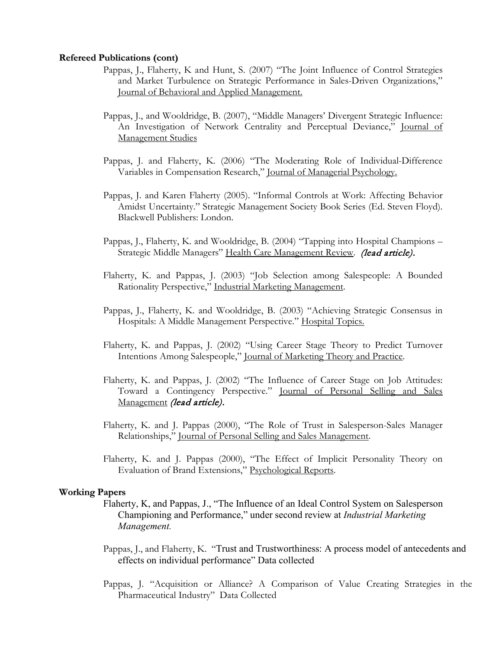#### **Refereed Publications (cont)**

- Pappas, J., Flaherty, K and Hunt, S. (2007) "The Joint Influence of Control Strategies and Market Turbulence on Strategic Performance in Sales-Driven Organizations," Journal of Behavioral and Applied Management.
- Pappas, J., and Wooldridge, B. (2007), "Middle Managers' Divergent Strategic Influence: An Investigation of Network Centrality and Perceptual Deviance," Journal of Management Studies
- Pappas, J. and Flaherty, K. (2006) "The Moderating Role of Individual-Difference Variables in Compensation Research," Journal of Managerial Psychology.
- Pappas, J. and Karen Flaherty (2005). "Informal Controls at Work: Affecting Behavior Amidst Uncertainty." Strategic Management Society Book Series (Ed. Steven Floyd). Blackwell Publishers: London.
- Pappas, J., Flaherty, K. and Wooldridge, B. (2004) "Tapping into Hospital Champions Strategic Middle Managers" Health Care Management Review. (lead article).
- Flaherty, K. and Pappas, J. (2003) "Job Selection among Salespeople: A Bounded Rationality Perspective," Industrial Marketing Management.
- Pappas, J., Flaherty, K. and Wooldridge, B. (2003) "Achieving Strategic Consensus in Hospitals: A Middle Management Perspective." Hospital Topics.
- Flaherty, K. and Pappas, J. (2002) "Using Career Stage Theory to Predict Turnover Intentions Among Salespeople," Journal of Marketing Theory and Practice.
- Flaherty, K. and Pappas, J. (2002) "The Influence of Career Stage on Job Attitudes: Toward a Contingency Perspective." Journal of Personal Selling and Sales Management (lead article).
- Flaherty, K. and J. Pappas (2000), "The Role of Trust in Salesperson-Sales Manager Relationships," Journal of Personal Selling and Sales Management.
- Flaherty, K. and J. Pappas (2000), "The Effect of Implicit Personality Theory on Evaluation of Brand Extensions," Psychological Reports.

#### **Working Papers**

- Flaherty, K, and Pappas, J., "The Influence of an Ideal Control System on Salesperson Championing and Performance," under second review at *Industrial Marketing Management.*
- Pappas, J., and Flaherty, K. "Trust and Trustworthiness: A process model of antecedents and effects on individual performance" Data collected
- Pappas, J. "Acquisition or Alliance? A Comparison of Value Creating Strategies in the Pharmaceutical Industry" Data Collected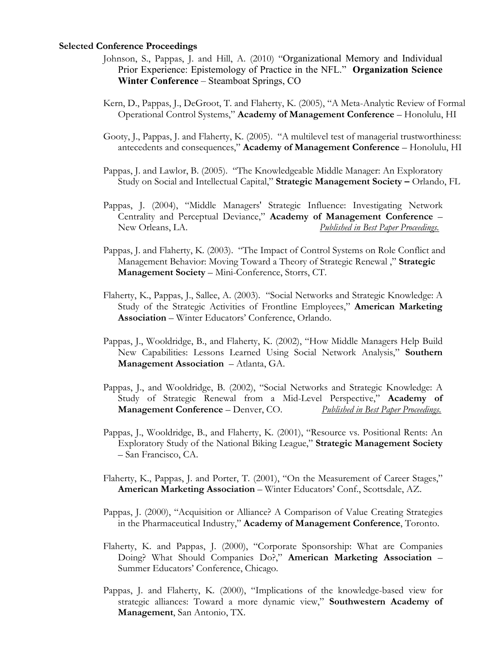#### **Selected Conference Proceedings**

- Johnson, S., Pappas, J. and Hill, A. (2010) "Organizational Memory and Individual Prior Experience: Epistemology of Practice in the NFL." **Organization Science Winter Conference** – Steamboat Springs, CO
- Kern, D., Pappas, J., DeGroot, T. and Flaherty, K. (2005), "A Meta-Analytic Review of Formal Operational Control Systems," **Academy of Management Conference** – Honolulu, HI
- Gooty, J., Pappas, J. and Flaherty, K. (2005). "A multilevel test of managerial trustworthiness: antecedents and consequences," **Academy of Management Conference** – Honolulu, HI
- Pappas, J. and Lawlor, B. (2005). "The Knowledgeable Middle Manager: An Exploratory Study on Social and Intellectual Capital," **Strategic Management Society –** Orlando, FL
- Pappas, J. (2004), "Middle Managers' Strategic Influence: Investigating Network Centrality and Perceptual Deviance," **Academy of Management Conference** – New Orleans, LA. *Published in Best Paper Proceedings.*
- Pappas, J. and Flaherty, K. (2003). "The Impact of Control Systems on Role Conflict and Management Behavior: Moving Toward a Theory of Strategic Renewal ," **Strategic Management Society** – Mini-Conference, Storrs, CT.
- Flaherty, K., Pappas, J., Sallee, A. (2003). "Social Networks and Strategic Knowledge: A Study of the Strategic Activities of Frontline Employees," **American Marketing Association** – Winter Educators' Conference, Orlando.
- Pappas, J., Wooldridge, B., and Flaherty, K. (2002), "How Middle Managers Help Build New Capabilities: Lessons Learned Using Social Network Analysis," **Southern Management Association** – Atlanta, GA.
- Pappas, J., and Wooldridge, B. (2002), "Social Networks and Strategic Knowledge: A Study of Strategic Renewal from a Mid-Level Perspective," **Academy of Management Conference** – Denver, CO. *Published in Best Paper Proceedings.*
- Pappas, J., Wooldridge, B., and Flaherty, K. (2001), "Resource vs. Positional Rents: An Exploratory Study of the National Biking League," **Strategic Management Society**  – San Francisco, CA.
- Flaherty, K., Pappas, J. and Porter, T. (2001), "On the Measurement of Career Stages," **American Marketing Association** – Winter Educators' Conf., Scottsdale, AZ.
- Pappas, J. (2000), "Acquisition or Alliance? A Comparison of Value Creating Strategies in the Pharmaceutical Industry," **Academy of Management Conference**, Toronto.
- Flaherty, K. and Pappas, J. (2000), "Corporate Sponsorship: What are Companies Doing? What Should Companies Do?," **American Marketing Association** – Summer Educators' Conference, Chicago.
- Pappas, J. and Flaherty, K. (2000), "Implications of the knowledge-based view for strategic alliances: Toward a more dynamic view," **Southwestern Academy of Management**, San Antonio, TX.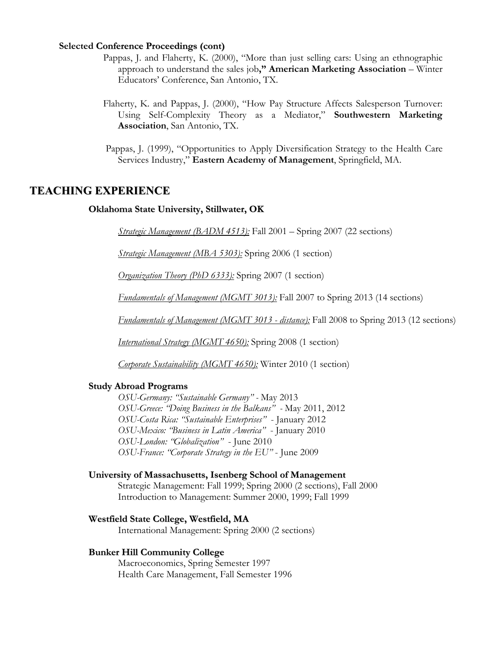#### **Selected Conference Proceedings (cont)**

- Pappas, J. and Flaherty, K. (2000), "More than just selling cars: Using an ethnographic approach to understand the sales job**," American Marketing Association** – Winter Educators' Conference, San Antonio, TX.
- Flaherty, K. and Pappas, J. (2000), "How Pay Structure Affects Salesperson Turnover: Using Self-Complexity Theory as a Mediator," **Southwestern Marketing Association**, San Antonio, TX.
- Pappas, J. (1999), "Opportunities to Apply Diversification Strategy to the Health Care Services Industry," **Eastern Academy of Management**, Springfield, MA.

### **TEACHING EXPERIENCE**

#### **Oklahoma State University, Stillwater, OK**

*Strategic Management (BADM 4513):* Fall 2001 – Spring 2007 (22 sections)

*Strategic Management (MBA 5303):* Spring 2006 (1 section)

*Organization Theory (PhD 6333):* Spring 2007 (1 section)

*Fundamentals of Management (MGMT 3013):* Fall 2007 to Spring 2013 (14 sections)

*Fundamentals of Management (MGMT 3013 - distance):* Fall 2008 to Spring 2013 (12 sections)

*International Strategy (MGMT 4650):* Spring 2008 (1 section)

*Corporate Sustainability (MGMT 4650):* Winter 2010 (1 section)

#### **Study Abroad Programs**

*OSU-Germany: "Sustainable Germany" -* May 2013 *OSU-Greece: "Doing Business in the Balkans" -* May 2011, 2012 *OSU-Costa Rica: "Sustainable Enterprises"* - January 2012 *OSU-Mexico: "Business in Latin America"* - January 2010 *OSU-London: "Globalization"* - June 2010 *OSU-France: "Corporate Strategy in the EU"* - June 2009

#### **University of Massachusetts, Isenberg School of Management**

Strategic Management: Fall 1999; Spring 2000 (2 sections), Fall 2000 Introduction to Management: Summer 2000, 1999; Fall 1999

### **Westfield State College, Westfield, MA**

International Management: Spring 2000 (2 sections)

#### **Bunker Hill Community College**

Macroeconomics, Spring Semester 1997 Health Care Management, Fall Semester 1996